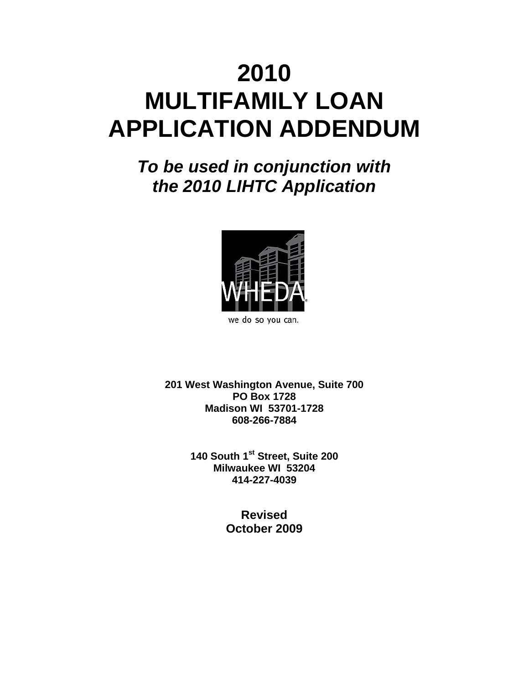# **2010 MULTIFAMILY LOAN APPLICATION ADDENDUM**

*To be used in conjunction with the 2010 LIHTC Application*



we do so you can.

**201 West Washington Avenue, Suite 700 PO Box 1728 Madison WI 53701-1728 608-266-7884**

> **140 South 1st Street, Suite 200 Milwaukee WI 53204 414-227-4039**

> > **Revised October 2009**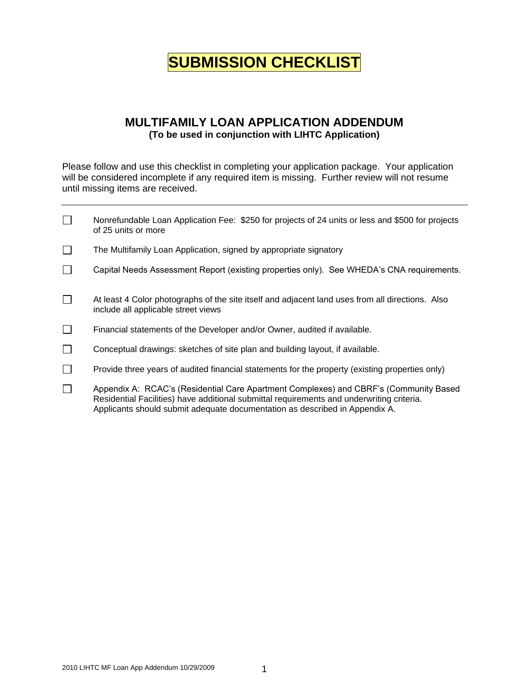## **SUBMISSION CHECKLIST**

### **MULTIFAMILY LOAN APPLICATION ADDENDUM (To be used in conjunction with LIHTC Application)**

Please follow and use this checklist in completing your application package. Your application will be considered incomplete if any required item is missing. Further review will not resume until missing items are received.

| $\Box$ | Nonrefundable Loan Application Fee: \$250 for projects of 24 units or less and \$500 for projects<br>of 25 units or more                                                                                                                                          |
|--------|-------------------------------------------------------------------------------------------------------------------------------------------------------------------------------------------------------------------------------------------------------------------|
| $\Box$ | The Multifamily Loan Application, signed by appropriate signatory                                                                                                                                                                                                 |
| $\Box$ | Capital Needs Assessment Report (existing properties only). See WHEDA's CNA requirements.                                                                                                                                                                         |
| $\Box$ | At least 4 Color photographs of the site itself and adjacent land uses from all directions. Also<br>include all applicable street views                                                                                                                           |
| $\Box$ | Financial statements of the Developer and/or Owner, audited if available.                                                                                                                                                                                         |
| $\Box$ | Conceptual drawings: sketches of site plan and building layout, if available.                                                                                                                                                                                     |
| $\Box$ | Provide three years of audited financial statements for the property (existing properties only)                                                                                                                                                                   |
| $\Box$ | Appendix A: RCAC's (Residential Care Apartment Complexes) and CBRF's (Community Based<br>Residential Facilities) have additional submittal requirements and underwriting criteria.<br>Applicants should submit adequate documentation as described in Appendix A. |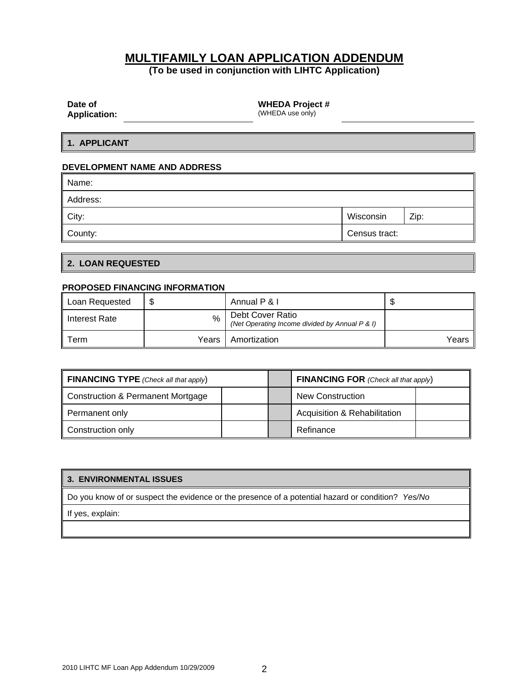### **MULTIFAMILY LOAN APPLICATION ADDENDUM**

**(To be used in conjunction with LIHTC Application)**

| Date of |                                                 |
|---------|-------------------------------------------------|
|         | $\bf{A}$ and $\bf{B}$ and $\bf{A}$ and $\bf{A}$ |

**WHEDA Project #**

**Application:**

(WHEDA use only)

**1. APPLICANT**

#### **DEVELOPMENT NAME AND ADDRESS**

| Name:    |               |      |
|----------|---------------|------|
| Address: |               |      |
| City:    | Wisconsin     | Zip: |
| County:  | Census tract: |      |

#### **2. LOAN REQUESTED**

#### **PROPOSED FINANCING INFORMATION**

| Loan Requested   |       | Annual P & I                                                       | ۰D     |
|------------------|-------|--------------------------------------------------------------------|--------|
| ll Interest Rate | $\%$  | Debt Cover Ratio<br>(Net Operating Income divided by Annual P & I) |        |
| Term             | Years | Amortization                                                       | Years, |

| <b>FINANCING TYPE</b> (Check all that apply) |  | <b>FINANCING FOR</b> (Check all that apply) |  |
|----------------------------------------------|--|---------------------------------------------|--|
| Construction & Permanent Mortgage            |  | <b>New Construction</b>                     |  |
| Permanent only                               |  | <b>Acquisition &amp; Rehabilitation</b>     |  |
| Construction only                            |  | Refinance                                   |  |

#### **3. ENVIRONMENTAL ISSUES**

Do you know of or suspect the evidence or the presence of a potential hazard or condition? *Yes/No*

If yes, explain: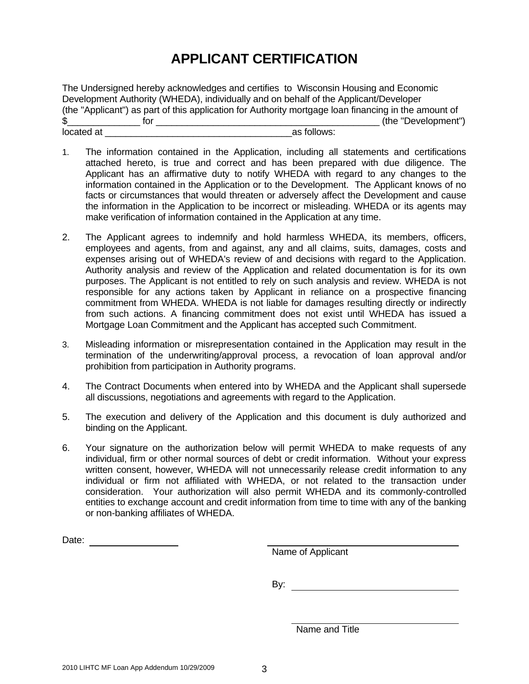### **APPLICANT CERTIFICATION**

The Undersigned hereby acknowledges and certifies to Wisconsin Housing and Economic Development Authority (WHEDA), individually and on behalf of the Applicant/Developer (the "Applicant") as part of this application for Authority mortgage loan financing in the amount of \$\_\_\_\_\_\_\_\_\_\_\_\_\_\_ for \_\_\_\_\_\_\_\_\_\_\_\_\_\_\_\_\_\_\_\_\_\_\_\_\_\_\_\_\_\_\_\_\_\_\_\_\_\_\_\_\_\_\_ (the "Development") located at  $\qquad \qquad$  located at  $\qquad \qquad$  located at  $\qquad \qquad$ 

- 1. The information contained in the Application, including all statements and certifications attached hereto, is true and correct and has been prepared with due diligence. The Applicant has an affirmative duty to notify WHEDA with regard to any changes to the information contained in the Application or to the Development. The Applicant knows of no facts or circumstances that would threaten or adversely affect the Development and cause the information in the Application to be incorrect or misleading. WHEDA or its agents may make verification of information contained in the Application at any time.
- 2. The Applicant agrees to indemnify and hold harmless WHEDA, its members, officers, employees and agents, from and against, any and all claims, suits, damages, costs and expenses arising out of WHEDA's review of and decisions with regard to the Application. Authority analysis and review of the Application and related documentation is for its own purposes. The Applicant is not entitled to rely on such analysis and review. WHEDA is not responsible for any actions taken by Applicant in reliance on a prospective financing commitment from WHEDA. WHEDA is not liable for damages resulting directly or indirectly from such actions. A financing commitment does not exist until WHEDA has issued a Mortgage Loan Commitment and the Applicant has accepted such Commitment.
- 3. Misleading information or misrepresentation contained in the Application may result in the termination of the underwriting/approval process, a revocation of loan approval and/or prohibition from participation in Authority programs.
- 4. The Contract Documents when entered into by WHEDA and the Applicant shall supersede all discussions, negotiations and agreements with regard to the Application.
- 5. The execution and delivery of the Application and this document is duly authorized and binding on the Applicant.
- 6. Your signature on the authorization below will permit WHEDA to make requests of any individual, firm or other normal sources of debt or credit information. Without your express written consent, however, WHEDA will not unnecessarily release credit information to any individual or firm not affiliated with WHEDA, or not related to the transaction under consideration. Your authorization will also permit WHEDA and its commonly-controlled entities to exchange account and credit information from time to time with any of the banking or non-banking affiliates of WHEDA.

Name of Applicant

By: the contract of the contract of the contract of the contract of the contract of the contract of the contract of the contract of the contract of the contract of the contract of the contract of the contract of the contra

Name and Title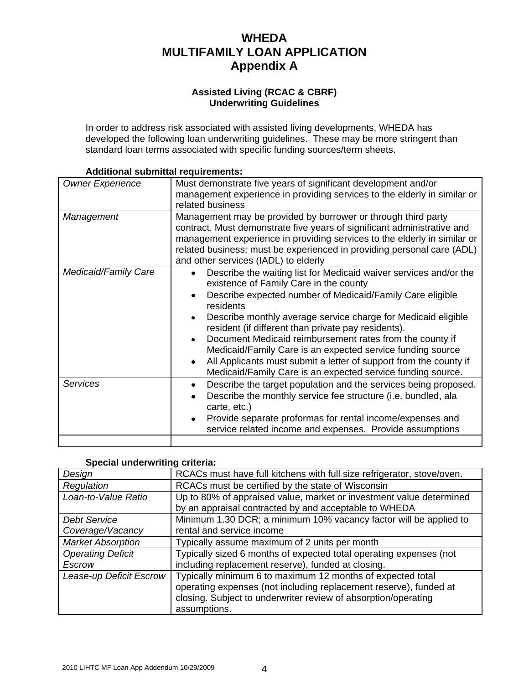### **WHEDA MULTIFAMILY LOAN APPLICATION Appendix A**

#### **Assisted Living (RCAC & CBRF) Underwriting Guidelines**

In order to address risk associated with assisted living developments, WHEDA has developed the following loan underwriting guidelines. These may be more stringent than standard loan terms associated with specific funding sources/term sheets.

| <b>Owner Experience</b> | Must demonstrate five years of significant development and/or<br>management experience in providing services to the elderly in similar or<br>related business                                                                                                                                                                                                                                                                                                                                                                                                               |  |  |
|-------------------------|-----------------------------------------------------------------------------------------------------------------------------------------------------------------------------------------------------------------------------------------------------------------------------------------------------------------------------------------------------------------------------------------------------------------------------------------------------------------------------------------------------------------------------------------------------------------------------|--|--|
| Management              | Management may be provided by borrower or through third party<br>contract. Must demonstrate five years of significant administrative and<br>management experience in providing services to the elderly in similar or<br>related business; must be experienced in providing personal care (ADL)<br>and other services (IADL) to elderly                                                                                                                                                                                                                                      |  |  |
| Medicaid/Family Care    | Describe the waiting list for Medicaid waiver services and/or the<br>existence of Family Care in the county<br>Describe expected number of Medicaid/Family Care eligible<br>residents<br>Describe monthly average service charge for Medicaid eligible<br>resident (if different than private pay residents).<br>Document Medicaid reimbursement rates from the county if<br>Medicaid/Family Care is an expected service funding source<br>All Applicants must submit a letter of support from the county if<br>Medicaid/Family Care is an expected service funding source. |  |  |
| <b>Services</b>         | Describe the target population and the services being proposed.<br>Describe the monthly service fee structure (i.e. bundled, ala<br>carte, etc.)<br>Provide separate proformas for rental income/expenses and<br>service related income and expenses. Provide assumptions                                                                                                                                                                                                                                                                                                   |  |  |

#### **Additional submittal requirements:**

| Design                   | RCACs must have full kitchens with full size refrigerator, stove/oven. |
|--------------------------|------------------------------------------------------------------------|
| Regulation               | RCACs must be certified by the state of Wisconsin                      |
| Loan-to-Value Ratio      | Up to 80% of appraised value, market or investment value determined    |
|                          | by an appraisal contracted by and acceptable to WHEDA                  |
| <b>Debt Service</b>      | Minimum 1.30 DCR; a minimum 10% vacancy factor will be applied to      |
| Coverage/Vacancy         | rental and service income                                              |
| <b>Market Absorption</b> | Typically assume maximum of 2 units per month                          |
| <b>Operating Deficit</b> | Typically sized 6 months of expected total operating expenses (not     |
| Escrow                   | including replacement reserve), funded at closing.                     |
| Lease-up Deficit Escrow  | Typically minimum 6 to maximum 12 months of expected total             |
|                          | operating expenses (not including replacement reserve), funded at      |
|                          | closing. Subject to underwriter review of absorption/operating         |
|                          | assumptions.                                                           |

### **Special underwriting criteria:**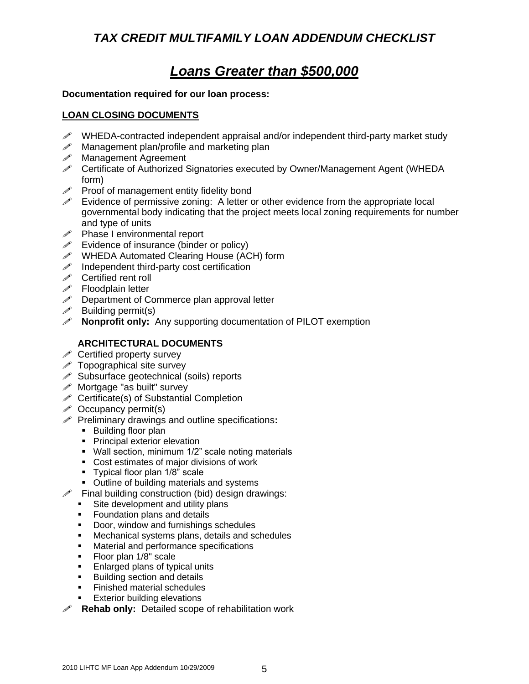### *TAX CREDIT MULTIFAMILY LOAN ADDENDUM CHECKLIST*

### *Loans Greater than \$500,000*

### **Documentation required for our loan process:**

### **LOAN CLOSING DOCUMENTS**

- WHEDA-contracted independent appraisal and/or independent third-party market study
- $\mathscr N$  Management plan/profile and marketing plan
- Management Agreement
- Certificate of Authorized Signatories executed by Owner/Management Agent (WHEDA form)
- $\mathscr P$  Proof of management entity fidelity bond
- $\mathscr S$  Evidence of permissive zoning: A letter or other evidence from the appropriate local governmental body indicating that the project meets local zoning requirements for number and type of units
- $\mathscr{P}$  Phase I environmental report
- $\mathscr{I}$  Evidence of insurance (binder or policy)
- WHEDA Automated Clearing House (ACH) form
- $\mathscr{I}$  Independent third-party cost certification
- *i* Certified rent roll
- $\mathscr{P}$  Floodplain letter
- $\mathscr P$  Department of Commerce plan approval letter
- $\mathscr{P}$  Building permit(s)
- **Nonprofit only:** Any supporting documentation of PILOT exemption

### **ARCHITECTURAL DOCUMENTS**

- $\mathscr S$  Certified property survey
- $\mathscr S$  Topographical site survey
- $\mathscr S$  Subsurface geotechnical (soils) reports
- $\mathscr{P}$  Mortgage "as built" survey
- $\mathscr S$  Certificate(s) of Substantial Completion
- $\mathscr S$  Occupancy permit(s)
- Preliminary drawings and outline specifications**:**
	- **Building floor plan**
	- **Principal exterior elevation**
	- **Wall section, minimum 1/2" scale noting materials**
	- Cost estimates of major divisions of work
	- **Typical floor plan 1/8" scale**
	- **Outline of building materials and systems**
- $\mathscr{P}$  Final building construction (bid) design drawings:
	- Site development and utility plans
	- **Foundation plans and details**
	- Door, window and furnishings schedules
	- Mechanical systems plans, details and schedules
	- **Material and performance specifications**
	- **Floor plan 1/8" scale**
	- **Enlarged plans of typical units**
	- Building section and details
	- **Finished material schedules**
	- **Exterior building elevations**
- **Rehab only:** Detailed scope of rehabilitation work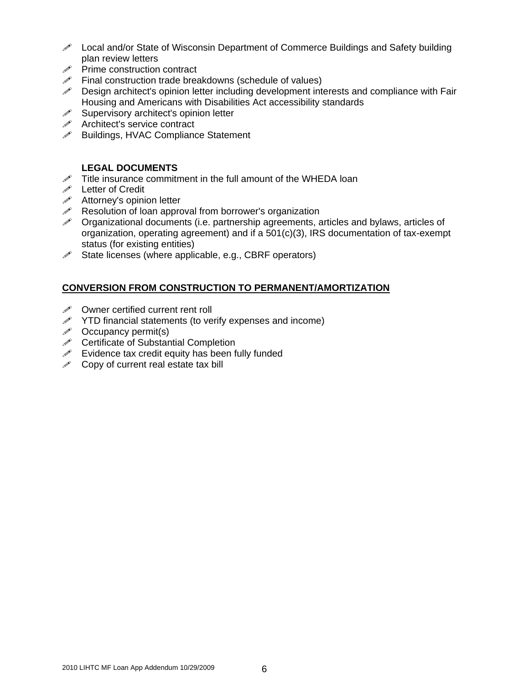- $\mathscr{P}$  Local and/or State of Wisconsin Department of Commerce Buildings and Safety building plan review letters
- $\mathscr{P}$  Prime construction contract
- $\mathscr{P}$  Final construction trade breakdowns (schedule of values)
- $\mathscr{P}$  Design architect's opinion letter including development interests and compliance with Fair Housing and Americans with Disabilities Act accessibility standards
- $\mathscr S$  Supervisory architect's opinion letter
- **Architect's service contract**<br> **A** Buildings, HVAC Compliance
- Buildings, HVAC Compliance Statement

### **LEGAL DOCUMENTS**

- $\mathscr{P}$  Title insurance commitment in the full amount of the WHEDA loan
- **Executed** Letter of Credit
- $\mathscr{I}$  Attorney's opinion letter
- $\mathscr{P}$  Resolution of loan approval from borrower's organization
- $\mathscr S$  Organizational documents (i.e. partnership agreements, articles and bylaws, articles of organization, operating agreement) and if a 501(c)(3), IRS documentation of tax-exempt status (for existing entities)
- $\mathscr S$  State licenses (where applicable, e.g., CBRF operators)

### **CONVERSION FROM CONSTRUCTION TO PERMANENT/AMORTIZATION**

- $\mathscr{I}$  Owner certified current rent roll
- $\mathscr N$  YTD financial statements (to verify expenses and income)
- $\mathscr{P}$  Occupancy permit(s)
- *i* Certificate of Substantial Completion
- $\mathscr{P}$  Evidence tax credit equity has been fully funded
- $\mathscr S$  Copy of current real estate tax bill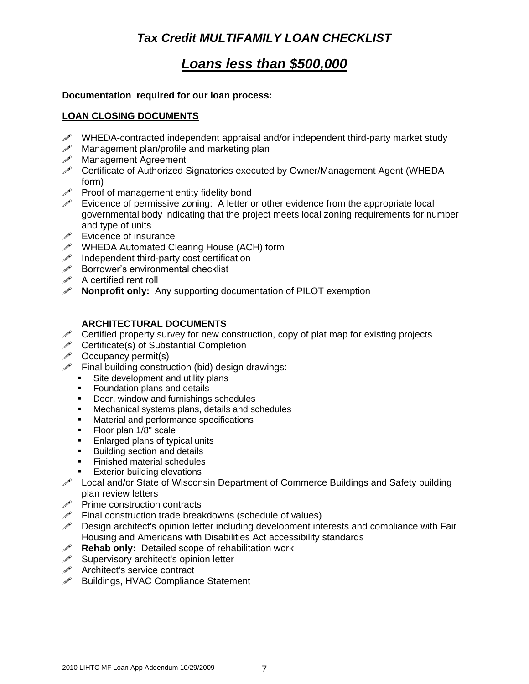### *Tax Credit MULTIFAMILY LOAN CHECKLIST*

### *Loans less than \$500,000*

### **Documentation required for our loan process:**

### **LOAN CLOSING DOCUMENTS**

- $\mathscr{P}$  WHEDA-contracted independent appraisal and/or independent third-party market study
- $\mathscr{P}$  Management plan/profile and marketing plan<br> $\mathscr{P}$  Management Agreement
- Management Agreement
- Certificate of Authorized Signatories executed by Owner/Management Agent (WHEDA form)
- $\mathscr P$  Proof of management entity fidelity bond
- $\mathscr S$  Evidence of permissive zoning: A letter or other evidence from the appropriate local governmental body indicating that the project meets local zoning requirements for number and type of units
- $\mathscr{I}$  Evidence of insurance
- WHEDA Automated Clearing House (ACH) form
- $\mathscr{P}$  Independent third-party cost certification<br> $\mathscr{P}$  Borrower's environmental checklist
- Borrower's environmental checklist
- $\mathscr{P}$  A certified rent roll
- **Nonprofit only:** Any supporting documentation of PILOT exemption

### **ARCHITECTURAL DOCUMENTS**

- $\mathscr S$  Certified property survey for new construction, copy of plat map for existing projects
- $\mathscr S$  Certificate(s) of Substantial Completion
- $\mathscr{P}$  Occupancy permit(s)
- $\mathscr{P}$  Final building construction (bid) design drawings:
	- Site development and utility plans
	- **Foundation plans and details**
	- Door, window and furnishings schedules
	- **Mechanical systems plans, details and schedules**
	- **Material and performance specifications**
	- Floor plan  $1/8$ " scale
	- **Enlarged plans of typical units**
	- **Building section and details**
	- **Finished material schedules**
	- **Exterior building elevations**
- **Local and/or State of Wisconsin Department of Commerce Buildings and Safety building** plan review letters
- *A* Prime construction contracts <br>**A** Final construction trade breal
- Final construction trade breakdowns (schedule of values)
- Design architect's opinion letter including development interests and compliance with Fair Housing and Americans with Disabilities Act accessibility standards
- **Rehab only:** Detailed scope of rehabilitation work
- $\mathscr S$  Supervisory architect's opinion letter
- $\mathscr{P}$  Architect's service contract
- $\mathscr{P}$  Buildings, HVAC Compliance Statement